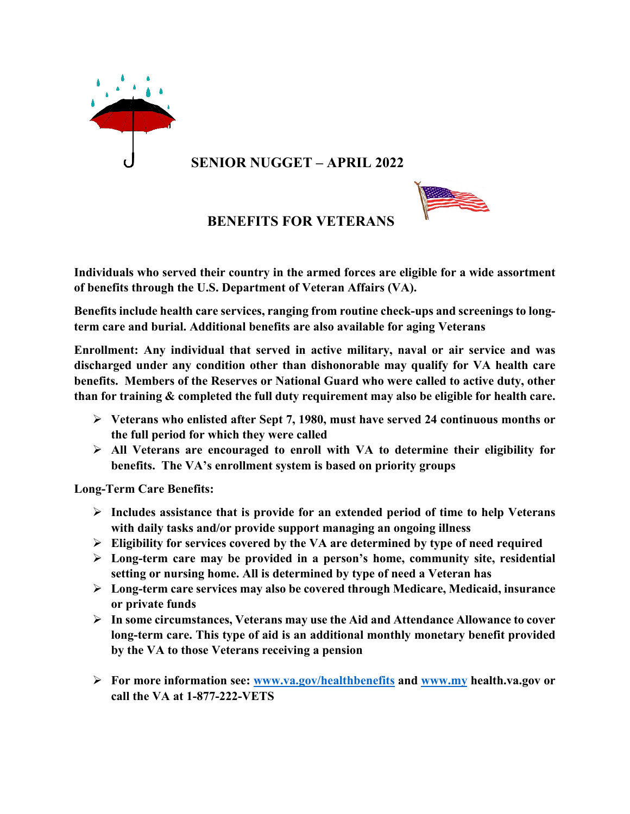

**SENIOR NUGGET – APRIL 2022**



 **BENEFITS FOR VETERANS** 

**Individuals who served their country in the armed forces are eligible for a wide assortment of benefits through the U.S. Department of Veteran Affairs (VA).**

**Benefits include health care services, ranging from routine check-ups and screenings to longterm care and burial. Additional benefits are also available for aging Veterans**

**Enrollment: Any individual that served in active military, naval or air service and was discharged under any condition other than dishonorable may qualify for VA health care benefits. Members of the Reserves or National Guard who were called to active duty, other than for training & completed the full duty requirement may also be eligible for health care.**

- Ø **Veterans who enlisted after Sept 7, 1980, must have served 24 continuous months or the full period for which they were called**
- Ø **All Veterans are encouraged to enroll with VA to determine their eligibility for benefits. The VA's enrollment system is based on priority groups**

**Long-Term Care Benefits:**

- Ø **Includes assistance that is provide for an extended period of time to help Veterans with daily tasks and/or provide support managing an ongoing illness**
- Ø **Eligibility for services covered by the VA are determined by type of need required**
- Ø **Long-term care may be provided in a person's home, community site, residential setting or nursing home. All is determined by type of need a Veteran has**
- Ø **Long-term care services may also be covered through Medicare, Medicaid, insurance or private funds**
- Ø **In some circumstances, Veterans may use the Aid and Attendance Allowance to cover long-term care. This type of aid is an additional monthly monetary benefit provided by the VA to those Veterans receiving a pension**
- Ø **For more information see: www.va.gov/healthbenefits and www.my health.va.gov or call the VA at 1-877-222-VETS**